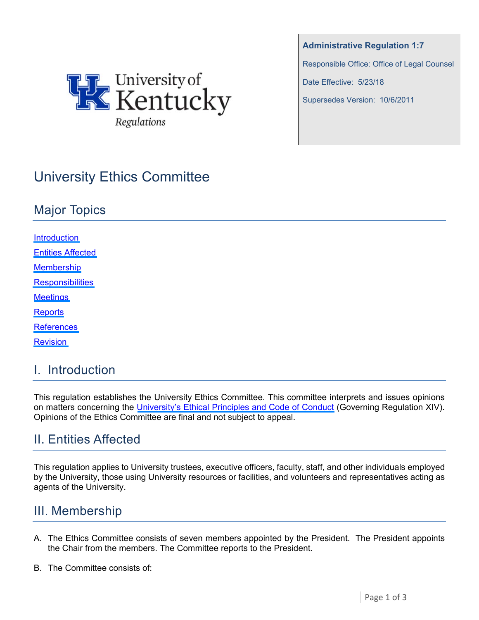

**Administrative Regulation 1:7** 

Responsible Office: Office of Legal Counsel

Date Effective: 5/23/18

Supersedes Version: 10/6/2011

# University Ethics Committee

## Major Topics

**Introduction** Entities Affected Membership **[Responsibilities](#page-1-0) [Meetings](#page-1-0) [Reports](#page-1-0) [References](#page-1-0)** [Revision](#page-2-0)

#### I. Introduction

This regulation establishes the University Ethics Committee. This committee interprets and issues opinions on matters concerning the [University's Ethical Principles and Code of Conduct](https://www.uky.edu/regs/sites/www.uky.edu.regs/files/files/gr/gr14.pdf) (Governing Regulation XIV). Opinions of the Ethics Committee are final and not subject to appeal.

## II. Entities Affected

This regulation applies to University trustees, executive officers, faculty, staff, and other individuals employed by the University, those using University resources or facilities, and volunteers and representatives acting as agents of the University.

#### III. Membership

- A. The Ethics Committee consists of seven members appointed by the President. The President appoints the Chair from the members. The Committee reports to the President.
- B. The Committee consists of: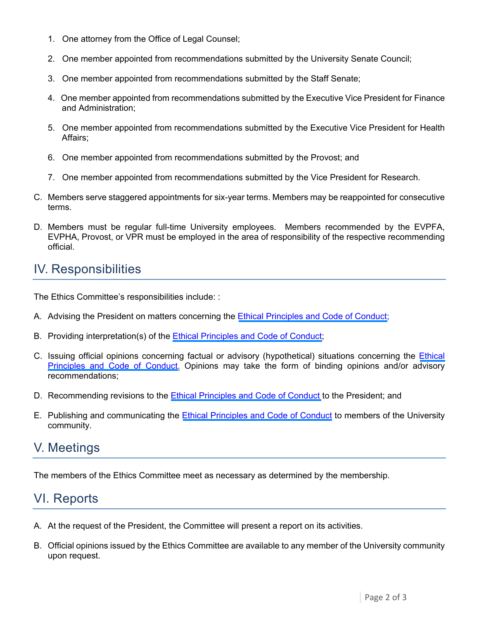- <span id="page-1-0"></span>1. One attorney from the Office of Legal Counsel;
- 2. One member appointed from recommendations submitted by the University Senate Council;
- 3. One member appointed from recommendations submitted by the Staff Senate;
- 4. One member appointed from recommendations submitted by the Executive Vice President for Finance and Administration;
- 5. One member appointed from recommendations submitted by the Executive Vice President for Health Affairs;
- 6. One member appointed from recommendations submitted by the Provost; and
- 7. One member appointed from recommendations submitted by the Vice President for Research.
- C. Members serve staggered appointments for six-year terms. Members may be reappointed for consecutive terms.
- D. Members must be regular full-time University employees. Members recommended by the EVPFA, EVPHA, Provost, or VPR must be employed in the area of responsibility of the respective recommending official.

#### IV. Responsibilities

The Ethics Committee's responsibilities include: :

- A. Advising the President on matters concerning the [Ethical Principles and Code of Conduct;](https://www.uky.edu/regs/sites/www.uky.edu.regs/files/files/gr/gr14.pdf)
- B. Providing interpretation(s) of the [Ethical Principles and Code of Conduct;](https://www.uky.edu/regs/sites/www.uky.edu.regs/files/files/gr/gr14.pdf)
- C. Issuing official opinions concerning factual or advisory (hypothetical) situations concerning the [Ethical](https://www.uky.edu/regs/sites/www.uky.edu.regs/files/files/gr/gr14.pdf)  [Principles and Code of Conduct.](https://www.uky.edu/regs/sites/www.uky.edu.regs/files/files/gr/gr14.pdf) Opinions may take the form of binding opinions and/or advisory recommendations;
- D. Recommending revisions to the [Ethical Principles and Code of Conduct](https://www.uky.edu/regs/sites/www.uky.edu.regs/files/files/gr/gr14.pdf) to the President; and
- E. Publishing and communicating the [Ethical Principles and Code of Conduct](https://www.uky.edu/regs/sites/www.uky.edu.regs/files/files/gr/gr14.pdf) to members of the University community.

#### V. Meetings

The members of the Ethics Committee meet as necessary as determined by the membership.

## VI. Reports

- A. At the request of the President, the Committee will present a report on its activities.
- B. Official opinions issued by the Ethics Committee are available to any member of the University community upon request.